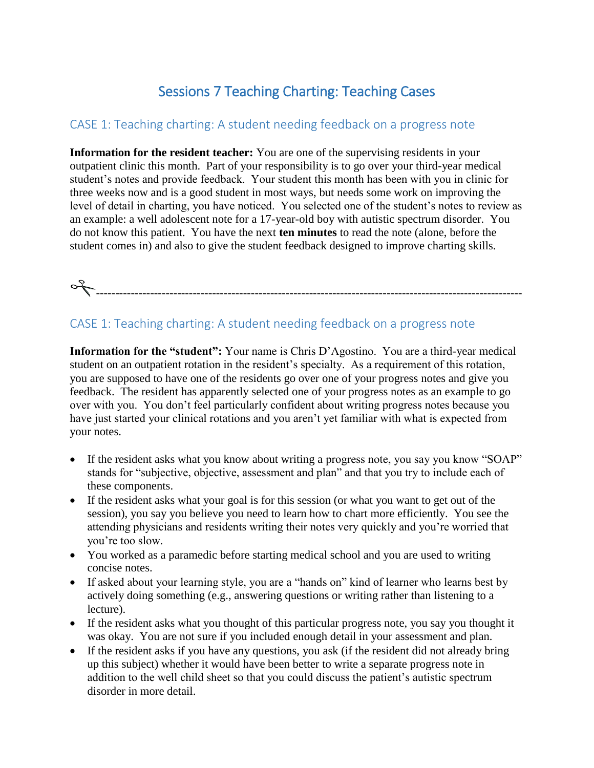# Sessions 7 Teaching Charting: Teaching Cases

## CASE 1: Teaching charting: A student needing feedback on a progress note

**Information for the resident teacher:** You are one of the supervising residents in your outpatient clinic this month. Part of your responsibility is to go over your third-year medical student's notes and provide feedback. Your student this month has been with you in clinic for three weeks now and is a good student in most ways, but needs some work on improving the level of detail in charting, you have noticed. You selected one of the student's notes to review as an example: a well adolescent note for a 17-year-old boy with autistic spectrum disorder. You do not know this patient. You have the next **ten minutes** to read the note (alone, before the student comes in) and also to give the student feedback designed to improve charting skills.

# --------------------------------------------------------------------------------------------------------------

## CASE 1: Teaching charting: A student needing feedback on a progress note

**Information for the "student":** Your name is Chris D'Agostino. You are a third-year medical student on an outpatient rotation in the resident's specialty. As a requirement of this rotation, you are supposed to have one of the residents go over one of your progress notes and give you feedback. The resident has apparently selected one of your progress notes as an example to go over with you. You don't feel particularly confident about writing progress notes because you have just started your clinical rotations and you aren't yet familiar with what is expected from your notes.

- If the resident asks what you know about writing a progress note, you say you know "SOAP" stands for "subjective, objective, assessment and plan" and that you try to include each of these components.
- If the resident asks what your goal is for this session (or what you want to get out of the session), you say you believe you need to learn how to chart more efficiently. You see the attending physicians and residents writing their notes very quickly and you're worried that you're too slow.
- You worked as a paramedic before starting medical school and you are used to writing concise notes.
- If asked about your learning style, you are a "hands on" kind of learner who learns best by actively doing something (e.g., answering questions or writing rather than listening to a lecture).
- If the resident asks what you thought of this particular progress note, you say you thought it was okay. You are not sure if you included enough detail in your assessment and plan.
- If the resident asks if you have any questions, you ask (if the resident did not already bring up this subject) whether it would have been better to write a separate progress note in addition to the well child sheet so that you could discuss the patient's autistic spectrum disorder in more detail.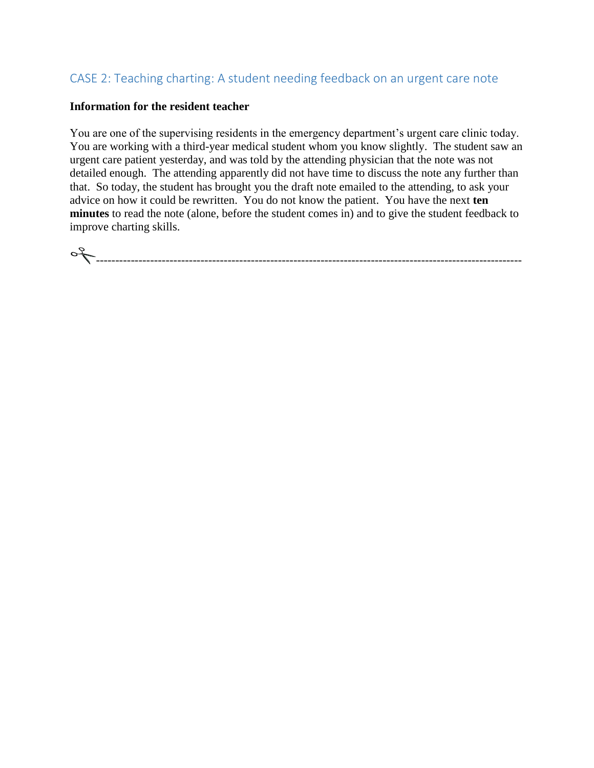## CASE 2: Teaching charting: A student needing feedback on an urgent care note

#### **Information for the resident teacher**

You are one of the supervising residents in the emergency department's urgent care clinic today. You are working with a third-year medical student whom you know slightly. The student saw an urgent care patient yesterday, and was told by the attending physician that the note was not detailed enough. The attending apparently did not have time to discuss the note any further than that. So today, the student has brought you the draft note emailed to the attending, to ask your advice on how it could be rewritten. You do not know the patient. You have the next **ten minutes** to read the note (alone, before the student comes in) and to give the student feedback to improve charting skills.

--------------------------------------------------------------------------------------------------------------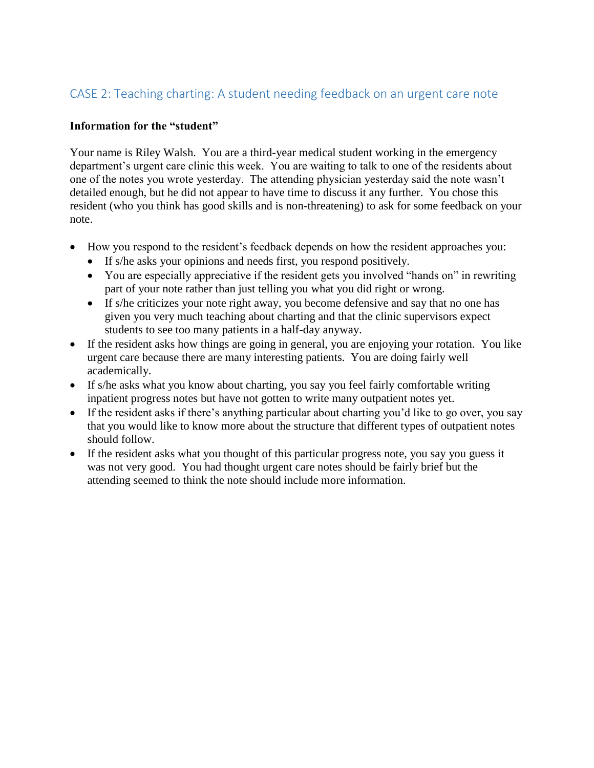## CASE 2: Teaching charting: A student needing feedback on an urgent care note

## **Information for the "student"**

Your name is Riley Walsh. You are a third-year medical student working in the emergency department's urgent care clinic this week. You are waiting to talk to one of the residents about one of the notes you wrote yesterday. The attending physician yesterday said the note wasn't detailed enough, but he did not appear to have time to discuss it any further. You chose this resident (who you think has good skills and is non-threatening) to ask for some feedback on your note.

- How you respond to the resident's feedback depends on how the resident approaches you:
	- If s/he asks your opinions and needs first, you respond positively.
	- You are especially appreciative if the resident gets you involved "hands on" in rewriting part of your note rather than just telling you what you did right or wrong.
	- If s/he criticizes your note right away, you become defensive and say that no one has given you very much teaching about charting and that the clinic supervisors expect students to see too many patients in a half-day anyway.
- If the resident asks how things are going in general, you are enjoying your rotation. You like urgent care because there are many interesting patients. You are doing fairly well academically.
- If s/he asks what you know about charting, you say you feel fairly comfortable writing inpatient progress notes but have not gotten to write many outpatient notes yet.
- If the resident asks if there's anything particular about charting you'd like to go over, you say that you would like to know more about the structure that different types of outpatient notes should follow.
- If the resident asks what you thought of this particular progress note, you say you guess it was not very good. You had thought urgent care notes should be fairly brief but the attending seemed to think the note should include more information.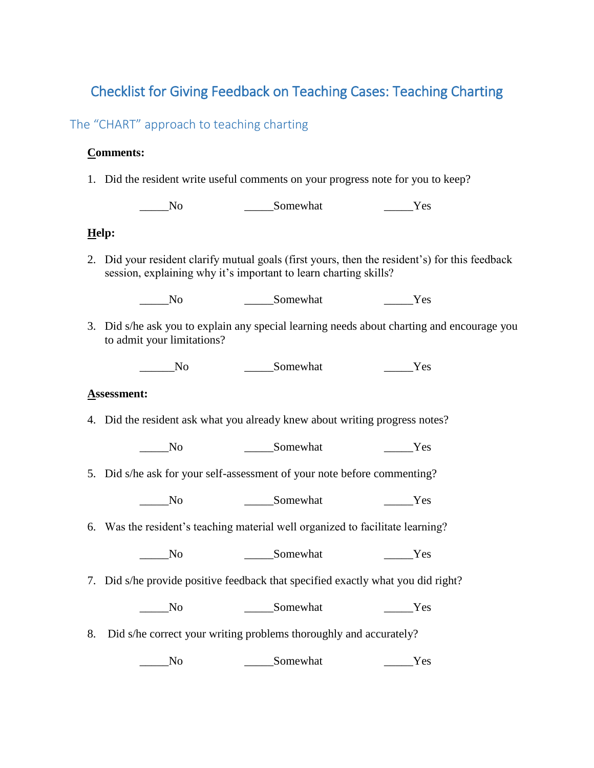## Checklist for Giving Feedback on Teaching Cases: Teaching Charting

## The "CHART" approach to teaching charting

## **Comments:**

1. Did the resident write useful comments on your progress note for you to keep?

No Somewhat Yes

## **Help:**

2. Did your resident clarify mutual goals (first yours, then the resident's) for this feedback session, explaining why it's important to learn charting skills?

\_\_\_\_\_No \_\_\_\_\_Somewhat \_\_\_\_\_Yes

3. Did s/he ask you to explain any special learning needs about charting and encourage you to admit your limitations?

No Somewhat Yes

#### **Assessment:**

4. Did the resident ask what you already knew about writing progress notes?

\_\_\_\_\_No \_\_\_\_\_Somewhat \_\_\_\_\_Yes

5. Did s/he ask for your self-assessment of your note before commenting?

\_\_\_\_\_No \_\_\_\_\_Somewhat \_\_\_\_\_Yes

6. Was the resident's teaching material well organized to facilitate learning?

No Somewhat Yes

7. Did s/he provide positive feedback that specified exactly what you did right?

\_\_\_\_\_No \_\_\_\_\_Somewhat \_\_\_\_\_Yes

8. Did s/he correct your writing problems thoroughly and accurately?

\_\_\_\_\_No \_\_\_\_\_Somewhat \_\_\_\_\_Yes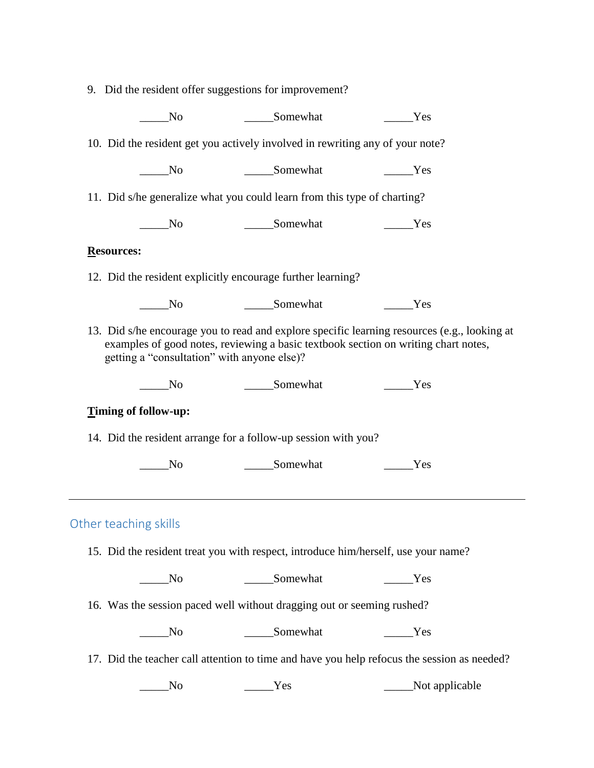|                       |                                             | 9. Did the resident offer suggestions for improvement?                             |                                                                                                                                                                                    |
|-----------------------|---------------------------------------------|------------------------------------------------------------------------------------|------------------------------------------------------------------------------------------------------------------------------------------------------------------------------------|
| N <sub>o</sub>        |                                             | Somewhat                                                                           | Yes                                                                                                                                                                                |
|                       |                                             | 10. Did the resident get you actively involved in rewriting any of your note?      |                                                                                                                                                                                    |
| $\sqrt{N}$            |                                             | __________Somewhat                                                                 | Yes                                                                                                                                                                                |
|                       |                                             | 11. Did s/he generalize what you could learn from this type of charting?           |                                                                                                                                                                                    |
| No                    |                                             | ______Somewhat                                                                     | <b>Example SE</b>                                                                                                                                                                  |
| <b>Resources:</b>     |                                             |                                                                                    |                                                                                                                                                                                    |
|                       |                                             | 12. Did the resident explicitly encourage further learning?                        |                                                                                                                                                                                    |
| N <sub>o</sub>        |                                             | _________Somewhat                                                                  | Yes                                                                                                                                                                                |
|                       | getting a "consultation" with anyone else)? |                                                                                    | 13. Did s/he encourage you to read and explore specific learning resources (e.g., looking at<br>examples of good notes, reviewing a basic textbook section on writing chart notes, |
| $\rm No$              |                                             | ______Somewhat                                                                     | Yes                                                                                                                                                                                |
| Timing of follow-up:  |                                             |                                                                                    |                                                                                                                                                                                    |
|                       |                                             | 14. Did the resident arrange for a follow-up session with you?                     |                                                                                                                                                                                    |
| N <sub>0</sub>        |                                             | ______Somewhat                                                                     | Yes                                                                                                                                                                                |
|                       |                                             |                                                                                    |                                                                                                                                                                                    |
| Other teaching skills |                                             |                                                                                    |                                                                                                                                                                                    |
|                       |                                             |                                                                                    |                                                                                                                                                                                    |
|                       |                                             | 15. Did the resident treat you with respect, introduce him/herself, use your name? |                                                                                                                                                                                    |
| No_                   |                                             | ______Somewhat                                                                     | Yes                                                                                                                                                                                |
|                       |                                             | 16. Was the session paced well without dragging out or seeming rushed?             |                                                                                                                                                                                    |
| N <sub>0</sub>        |                                             | ______Somewhat                                                                     | <b>Example S</b>                                                                                                                                                                   |
|                       |                                             |                                                                                    | 17. Did the teacher call attention to time and have you help refocus the session as needed?                                                                                        |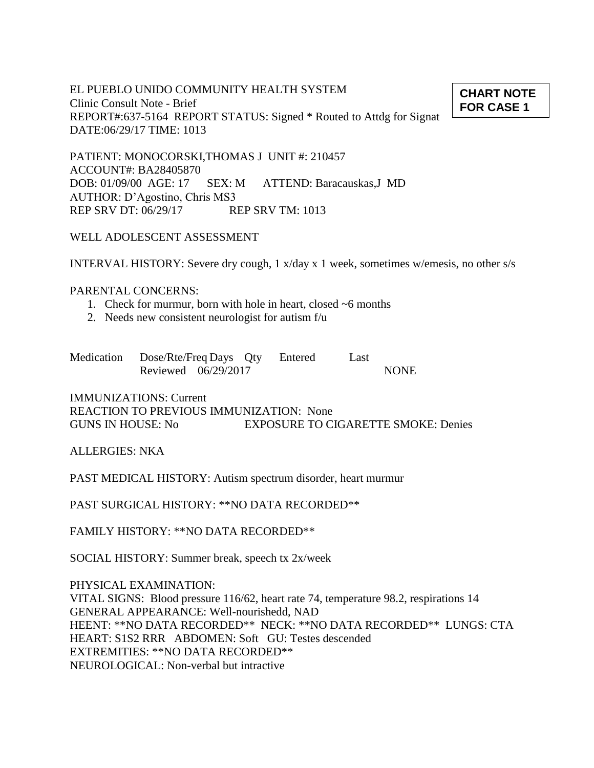EL PUEBLO UNIDO COMMUNITY HEALTH SYSTEM Clinic Consult Note - Brief REPORT#:637-5164 REPORT STATUS: Signed \* Routed to Attdg for Signat DATE:06/29/17 TIME: 1013

PATIENT: MONOCORSKI,THOMAS J UNIT #: 210457 ACCOUNT#: BA28405870 DOB: 01/09/00 AGE: 17 SEX: M ATTEND: Baracauskas,J MD AUTHOR: D'Agostino, Chris MS3 REP SRV DT: 06/29/17 REP SRV TM: 1013

## WELL ADOLESCENT ASSESSMENT

INTERVAL HISTORY: Severe dry cough, 1 x/day x 1 week, sometimes w/emesis, no other s/s

#### PARENTAL CONCERNS:

- 1. Check for murmur, born with hole in heart, closed ~6 months
- 2. Needs new consistent neurologist for autism f/u

| Medication Dose/Rte/Freq Days Qty Entered |  |  | Last |             |
|-------------------------------------------|--|--|------|-------------|
| Reviewed 06/29/2017                       |  |  |      | <b>NONE</b> |

IMMUNIZATIONS: Current REACTION TO PREVIOUS IMMUNIZATION: None GUNS IN HOUSE: No EXPOSURE TO CIGARETTE SMOKE: Denies

ALLERGIES: NKA

PAST MEDICAL HISTORY: Autism spectrum disorder, heart murmur

PAST SURGICAL HISTORY: \*\*NO DATA RECORDED\*\*

FAMILY HISTORY: \*\*NO DATA RECORDED\*\*

SOCIAL HISTORY: Summer break, speech tx 2x/week

PHYSICAL EXAMINATION: VITAL SIGNS: Blood pressure 116/62, heart rate 74, temperature 98.2, respirations 14 GENERAL APPEARANCE: Well-nourishedd, NAD HEENT: \*\*NO DATA RECORDED\*\* NECK: \*\*NO DATA RECORDED\*\* LUNGS: CTA HEART: S1S2 RRR ABDOMEN: Soft GU: Testes descended EXTREMITIES: \*\*NO DATA RECORDED\*\* NEUROLOGICAL: Non-verbal but intractive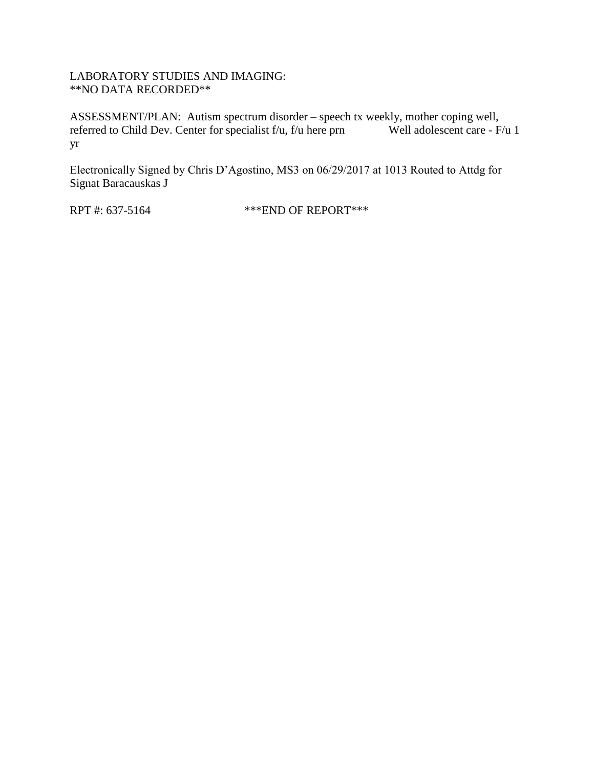### LABORATORY STUDIES AND IMAGING: \*\*NO DATA RECORDED\*\*

ASSESSMENT/PLAN: Autism spectrum disorder – speech tx weekly, mother coping well, referred to Child Dev. Center for specialist f/u, f/u here prn Well adolescent care - F/u 1 yr

Electronically Signed by Chris D'Agostino, MS3 on 06/29/2017 at 1013 Routed to Attdg for Signat Baracauskas J

RPT #: 637-5164 \*\*\* END OF REPORT\*\*\*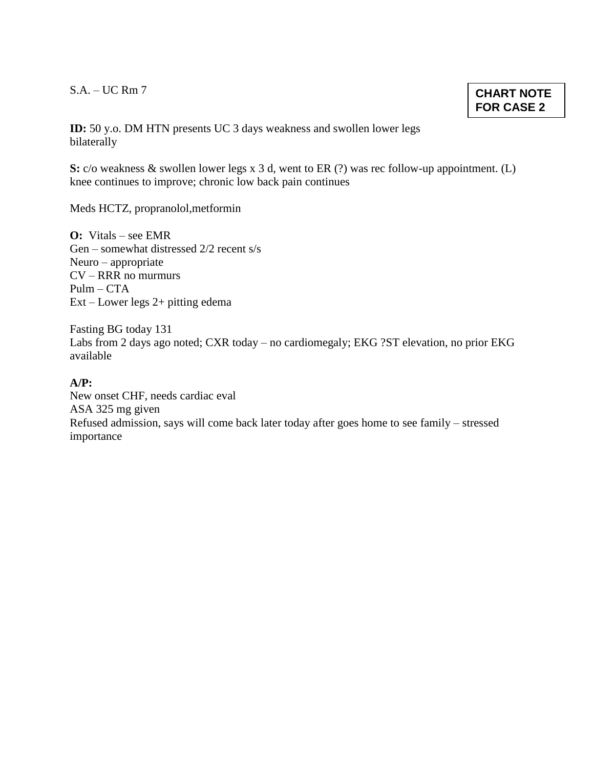S.A. – UC Rm 7

**CHART NOTE FOR CASE 2**

**ID:** 50 y.o. DM HTN presents UC 3 days weakness and swollen lower legs bilaterally

**S:** c/o weakness & swollen lower legs x 3 d, went to ER (?) was rec follow-up appointment. (L) knee continues to improve; chronic low back pain continues

Meds HCTZ, propranolol,metformin

**O:** Vitals – see EMR Gen – somewhat distressed 2/2 recent s/s Neuro – appropriate CV – RRR no murmurs  $Pulm - CTA$ Ext – Lower legs 2+ pitting edema

Fasting BG today 131 Labs from 2 days ago noted; CXR today – no cardiomegaly; EKG ?ST elevation, no prior EKG available

**A/P:**

New onset CHF, needs cardiac eval ASA 325 mg given Refused admission, says will come back later today after goes home to see family – stressed importance